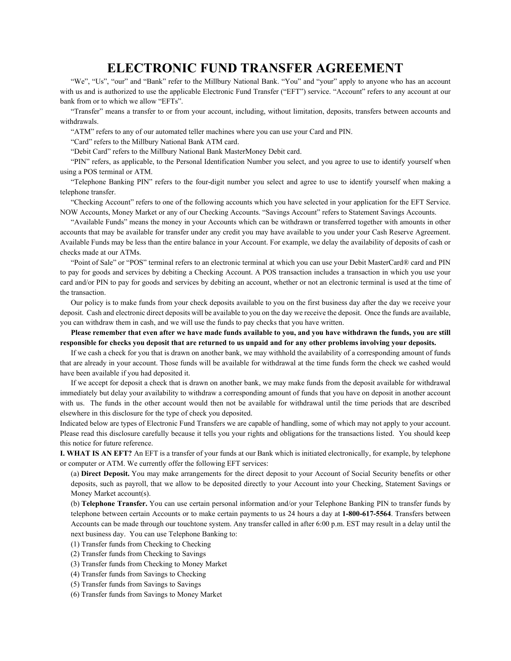# **ELECTRONIC FUND TRANSFER AGREEMENT**

"We", "Us", "our" and "Bank" refer to the Millbury National Bank. "You" and "your" apply to anyone who has an account with us and is authorized to use the applicable Electronic Fund Transfer ("EFT") service. "Account" refers to any account at our bank from or to which we allow "EFTs".

"Transfer" means a transfer to or from your account, including, without limitation, deposits, transfers between accounts and withdrawals.

"ATM" refers to any of our automated teller machines where you can use your Card and PIN.

"Card" refers to the Millbury National Bank ATM card.

"Debit Card" refers to the Millbury National Bank MasterMoney Debit card.

"PIN" refers, as applicable, to the Personal Identification Number you select, and you agree to use to identify yourself when using a POS terminal or ATM.

"Telephone Banking PIN" refers to the four-digit number you select and agree to use to identify yourself when making a telephone transfer.

"Checking Account" refers to one of the following accounts which you have selected in your application for the EFT Service. NOW Accounts, Money Market or any of our Checking Accounts. "Savings Account" refers to Statement Savings Accounts.

"Available Funds" means the money in your Accounts which can be withdrawn or transferred together with amounts in other accounts that may be available for transfer under any credit you may have available to you under your Cash Reserve Agreement. Available Funds may be less than the entire balance in your Account. For example, we delay the availability of deposits of cash or checks made at our ATMs.

"Point of Sale" or "POS" terminal refers to an electronic terminal at which you can use your Debit MasterCard® card and PIN to pay for goods and services by debiting a Checking Account. A POS transaction includes a transaction in which you use your card and/or PIN to pay for goods and services by debiting an account, whether or not an electronic terminal is used at the time of the transaction.

Our policy is to make funds from your check deposits available to you on the first business day after the day we receive your deposit. Cash and electronic direct deposits will be available to you on the day we receive the deposit. Once the funds are available, you can withdraw them in cash, and we will use the funds to pay checks that you have written.

Please remember that even after we have made funds available to you, and you have withdrawn the funds, you are still responsible for checks you deposit that are returned to us unpaid and for any other problems involving your deposits.

If we cash a check for you that is drawn on another bank, we may withhold the availability of a corresponding amount of funds that are already in your account. Those funds will be available for withdrawal at the time funds form the check we cashed would have been available if you had deposited it.

If we accept for deposit a check that is drawn on another bank, we may make funds from the deposit available for withdrawal immediately but delay your availability to withdraw a corresponding amount of funds that you have on deposit in another account with us. The funds in the other account would then not be available for withdrawal until the time periods that are described elsewhere in this disclosure for the type of check you deposited.

Indicated below are types of Electronic Fund Transfers we are capable of handling, some of which may not apply to your account. Please read this disclosure carefully because it tells you your rights and obligations for the transactions listed. You should keep this notice for future reference.

**I. WHAT IS AN EFT?** An EFT is a transfer of your funds at our Bank which is initiated electronically, for example, by telephone or computer or ATM. We currently offer the following EFT services:

(a) **Direct Deposit.** You may make arrangements for the direct deposit to your Account of Social Security benefits or other deposits, such as payroll, that we allow to be deposited directly to your Account into your Checking, Statement Savings or Money Market account(s).

(b) **Telephone Transfer.** You can use certain personal information and/or your Telephone Banking PIN to transfer funds by telephone between certain Accounts or to make certain payments to us 24 hours a day at **1-800-617-5564**. Transfers between Accounts can be made through our touchtone system. Any transfer called in after 6:00 p.m. EST may result in a delay until the next business day. You can use Telephone Banking to:

(1) Transfer funds from Checking to Checking

(2) Transfer funds from Checking to Savings

- (3) Transfer funds from Checking to Money Market
- (4) Transfer funds from Savings to Checking
- (5) Transfer funds from Savings to Savings
- (6) Transfer funds from Savings to Money Market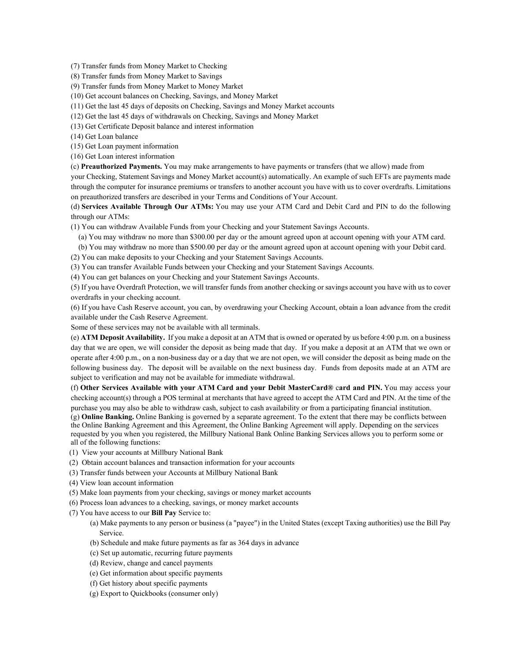(7) Transfer funds from Money Market to Checking

(8) Transfer funds from Money Market to Savings

- (9) Transfer funds from Money Market to Money Market
- (10) Get account balances on Checking, Savings, and Money Market
- (11) Get the last 45 days of deposits on Checking, Savings and Money Market accounts
- (12) Get the last 45 days of withdrawals on Checking, Savings and Money Market
- (13) Get Certificate Deposit balance and interest information
- (14) Get Loan balance

(15) Get Loan payment information

(16) Get Loan interest information

(c) **Preauthorized Payments.** You may make arrangements to have payments or transfers (that we allow) made from

your Checking, Statement Savings and Money Market account(s) automatically. An example of such EFTs are payments made through the computer for insurance premiums or transfers to another account you have with us to cover overdrafts. Limitations on preauthorized transfers are described in your Terms and Conditions of Your Account.

(d) **Services Available Through Our ATMs:** You may use your ATM Card and Debit Card and PIN to do the following through our ATMs:

(1) You can withdraw Available Funds from your Checking and your Statement Savings Accounts.

- (a) You may withdraw no more than \$300.00 per day or the amount agreed upon at account opening with your ATM card.
- (b) You may withdraw no more than \$500.00 per day or the amount agreed upon at account opening with your Debit card. (2) You can make deposits to your Checking and your Statement Savings Accounts.
- (3) You can transfer Available Funds between your Checking and your Statement Savings Accounts.
- (4) You can get balances on your Checking and your Statement Savings Accounts.

(5) If you have Overdraft Protection, we will transfer funds from another checking or savings account you have with us to cover overdrafts in your checking account.

(6) If you have Cash Reserve account, you can, by overdrawing your Checking Account, obtain a loan advance from the credit available under the Cash Reserve Agreement.

Some of these services may not be available with all terminals.

(e) **ATM Deposit Availability.** If you make a deposit at an ATM that is owned or operated by us before 4:00 p.m. on a business day that we are open, we will consider the deposit as being made that day. If you make a deposit at an ATM that we own or operate after 4:00 p.m., on a non-business day or a day that we are not open, we will consider the deposit as being made on the following business day. The deposit will be available on the next business day. Funds from deposits made at an ATM are subject to verification and may not be available for immediate withdrawal.

(f) **Other Services Available with your ATM Card and your Debit MasterCard®** c**ard and PIN.** You may access your checking account(s) through a POS terminal at merchants that have agreed to accept the ATM Card and PIN. At the time of the purchase you may also be able to withdraw cash, subject to cash availability or from a participating financial institution.

(g) **Online Banking.** Online Banking is governed by a separate agreement. To the extent that there may be conflicts between the Online Banking Agreement and this Agreement, the Online Banking Agreement will apply. Depending on the services requested by you when you registered, the Millbury National Bank Online Banking Services allows you to perform some or all of the following functions:

- (1) View your accounts at Millbury National Bank
- (2) Obtain account balances and transaction information for your accounts
- (3) Transfer funds between your Accounts at Millbury National Bank
- (4) View loan account information
- (5) Make loan payments from your checking, savings or money market accounts
- (6) Process loan advances to a checking, savings, or money market accounts
- (7) You have access to our **Bill Pay** Service to:
	- (a) Make payments to any person or business (a "payee") in the United States (except Taxing authorities) use the Bill Pay Service.
	- (b) Schedule and make future payments as far as 364 days in advance
	- (c) Set up automatic, recurring future payments
	- (d) Review, change and cancel payments
	- (e) Get information about specific payments
	- (f) Get history about specific payments
	- (g) Export to Quickbooks (consumer only)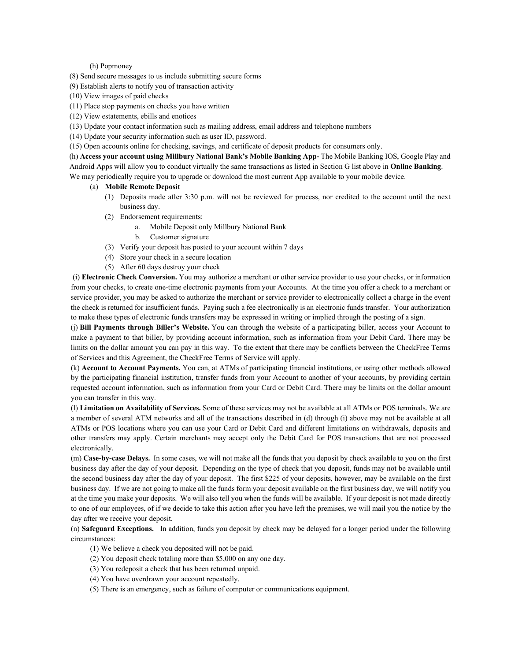### (h) Popmoney

(8) Send secure messages to us include submitting secure forms

- (9) Establish alerts to notify you of transaction activity
- (10) View images of paid checks
- (11) Place stop payments on checks you have written
- (12) View estatements, ebills and enotices
- (13) Update your contact information such as mailing address, email address and telephone numbers
- (14) Update your security information such as user ID, password.
- (15) Open accounts online for checking, savings, and certificate of deposit products for consumers only.

 (h) **Access your account using Millbury National Bank's Mobile Banking App-** The Mobile Banking IOS, Google Play and Android Apps will allow you to conduct virtually the same transactions as listed in Section G list above in **Online Banking**. We may periodically require you to upgrade or download the most current App available to your mobile device.

- (a) **Mobile Remote Deposit**
	- (1) Deposits made after 3:30 p.m. will not be reviewed for process, nor credited to the account until the next business day.
	- (2) Endorsement requirements:
		- a. Mobile Deposit only Millbury National Bank
		- b. Customer signature
	- (3) Verify your deposit has posted to your account within 7 days
	- (4) Store your check in a secure location
	- (5) After 60 days destroy your check

(i) **Electronic Check Conversion.** You may authorize a merchant or other service provider to use your checks, or information from your checks, to create one-time electronic payments from your Accounts. At the time you offer a check to a merchant or service provider, you may be asked to authorize the merchant or service provider to electronically collect a charge in the event the check is returned for insufficient funds. Paying such a fee electronically is an electronic funds transfer. Your authorization to make these types of electronic funds transfers may be expressed in writing or implied through the posting of a sign.

(j) **Bill Payments through Biller's Website.** You can through the website of a participating biller, access your Account to make a payment to that biller, by providing account information, such as information from your Debit Card. There may be limits on the dollar amount you can pay in this way. To the extent that there may be conflicts between the CheckFree Terms of Services and this Agreement, the CheckFree Terms of Service will apply.

(k) **Account to Account Payments.** You can, at ATMs of participating financial institutions, or using other methods allowed by the participating financial institution, transfer funds from your Account to another of your accounts, by providing certain requested account information, such as information from your Card or Debit Card. There may be limits on the dollar amount you can transfer in this way.

(l) **Limitation on Availability of Services.** Some of these services may not be available at all ATMs or POS terminals. We are a member of several ATM networks and all of the transactions described in (d) through (i) above may not be available at all ATMs or POS locations where you can use your Card or Debit Card and different limitations on withdrawals, deposits and other transfers may apply. Certain merchants may accept only the Debit Card for POS transactions that are not processed electronically.

(m) **Case-by-case Delays.** In some cases, we will not make all the funds that you deposit by check available to you on the first business day after the day of your deposit. Depending on the type of check that you deposit, funds may not be available until the second business day after the day of your deposit. The first \$225 of your deposits, however, may be available on the first business day. If we are not going to make all the funds form your deposit available on the first business day, we will notify you at the time you make your deposits. We will also tell you when the funds will be available. If your deposit is not made directly to one of our employees, of if we decide to take this action after you have left the premises, we will mail you the notice by the day after we receive your deposit.

(n) **Safeguard Exceptions.** In addition, funds you deposit by check may be delayed for a longer period under the following circumstances:

(1) We believe a check you deposited will not be paid.

- (2) You deposit check totaling more than \$5,000 on any one day.
- (3) You redeposit a check that has been returned unpaid.
- (4) You have overdrawn your account repeatedly.
- (5) There is an emergency, such as failure of computer or communications equipment.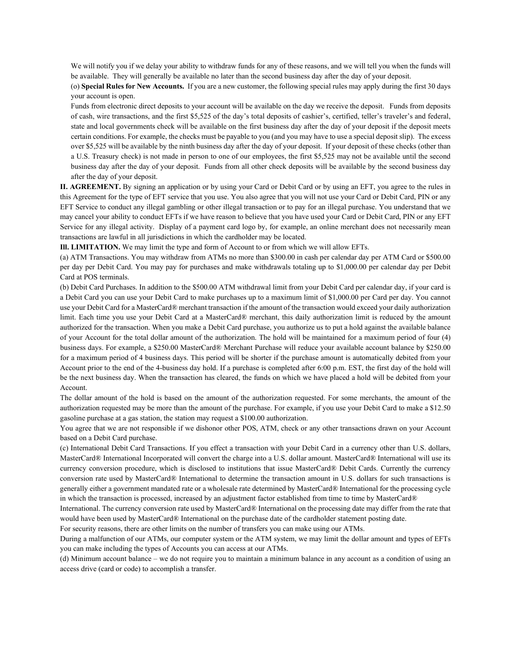We will notify you if we delay your ability to withdraw funds for any of these reasons, and we will tell you when the funds will be available. They will generally be available no later than the second business day after the day of your deposit.

(o) **Special Rules for New Accounts.** If you are a new customer, the following special rules may apply during the first 30 days your account is open.

Funds from electronic direct deposits to your account will be available on the day we receive the deposit. Funds from deposits of cash, wire transactions, and the first \$5,525 of the day's total deposits of cashier's, certified, teller's traveler's and federal, state and local governments check will be available on the first business day after the day of your deposit if the deposit meets certain conditions. For example, the checks must be payable to you (and you may have to use a special deposit slip). The excess over \$5,525 will be available by the ninth business day after the day of your deposit. If your deposit of these checks (other than a U.S. Treasury check) is not made in person to one of our employees, the first \$5,525 may not be available until the second business day after the day of your deposit. Funds from all other check deposits will be available by the second business day after the day of your deposit.

**II. AGREEMENT.** By signing an application or by using your Card or Debit Card or by using an EFT, you agree to the rules in this Agreement for the type of EFT service that you use. You also agree that you will not use your Card or Debit Card, PIN or any EFT Service to conduct any illegal gambling or other illegal transaction or to pay for an illegal purchase. You understand that we may cancel your ability to conduct EFTs if we have reason to believe that you have used your Card or Debit Card, PIN or any EFT Service for any illegal activity. Display of a payment card logo by, for example, an online merchant does not necessarily mean transactions are lawful in all jurisdictions in which the cardholder may be located.

**Ill. LIMITATION.** We may limit the type and form of Account to or from which we will allow EFTs.

(a) ATM Transactions. You may withdraw from ATMs no more than \$300.00 in cash per calendar day per ATM Card or \$500.00 per day per Debit Card. You may pay for purchases and make withdrawals totaling up to \$1,000.00 per calendar day per Debit Card at POS terminals.

(b) Debit Card Purchases. In addition to the \$500.00 ATM withdrawal limit from your Debit Card per calendar day, if your card is a Debit Card you can use your Debit Card to make purchases up to a maximum limit of \$1,000.00 per Card per day. You cannot use your Debit Card for a MasterCard® merchant transaction if the amount of the transaction would exceed your daily authorization limit. Each time you use your Debit Card at a MasterCard® merchant, this daily authorization limit is reduced by the amount authorized for the transaction. When you make a Debit Card purchase, you authorize us to put a hold against the available balance of your Account for the total dollar amount of the authorization. The hold will be maintained for a maximum period of four (4) business days. For example, a \$250.00 MasterCard® Merchant Purchase will reduce your available account balance by \$250.00 for a maximum period of 4 business days. This period will be shorter if the purchase amount is automatically debited from your Account prior to the end of the 4-business day hold. If a purchase is completed after 6:00 p.m. EST, the first day of the hold will be the next business day. When the transaction has cleared, the funds on which we have placed a hold will be debited from your Account.

The dollar amount of the hold is based on the amount of the authorization requested. For some merchants, the amount of the authorization requested may be more than the amount of the purchase. For example, if you use your Debit Card to make a \$12.50 gasoline purchase at a gas station, the station may request a \$100.00 authorization.

You agree that we are not responsible if we dishonor other POS, ATM, check or any other transactions drawn on your Account based on a Debit Card purchase.

(c) International Debit Card Transactions. If you effect a transaction with your Debit Card in a currency other than U.S. dollars, MasterCard® International Incorporated will convert the charge into a U.S. dollar amount. MasterCard® International will use its currency conversion procedure, which is disclosed to institutions that issue MasterCard® Debit Cards. Currently the currency conversion rate used by MasterCard® International to determine the transaction amount in U.S. dollars for such transactions is generally either a government mandated rate or a wholesale rate determined by MasterCard® International for the processing cycle in which the transaction is processed, increased by an adjustment factor established from time to time by MasterCard®

International. The currency conversion rate used by MasterCard® International on the processing date may differ from the rate that would have been used by MasterCard® International on the purchase date of the cardholder statement posting date.

For security reasons, there are other limits on the number of transfers you can make using our ATMs.

During a malfunction of our ATMs, our computer system or the ATM system, we may limit the dollar amount and types of EFTs you can make including the types of Accounts you can access at our ATMs.

(d) Minimum account balance – we do not require you to maintain a minimum balance in any account as a condition of using an access drive (card or code) to accomplish a transfer.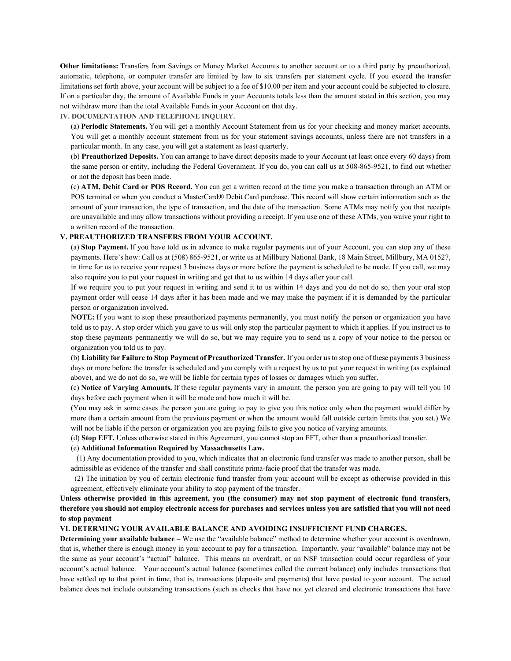**Other limitations:** Transfers from Savings or Money Market Accounts to another account or to a third party by preauthorized, automatic, telephone, or computer transfer are limited by law to six transfers per statement cycle. If you exceed the transfer limitations set forth above, your account will be subject to a fee of \$10.00 per item and your account could be subjected to closure. If on a particular day, the amount of Available Funds in your Accounts totals less than the amount stated in this section, you may not withdraw more than the total Available Funds in your Account on that day.

#### **IV. DOCUMENTATION AND TELEPHONE INQUIRY.**

(a) **Periodic Statements.** You will get a monthly Account Statement from us for your checking and money market accounts. You will get a monthly account statement from us for your statement savings accounts, unless there are not transfers in a particular month. In any case, you will get a statement as least quarterly.

(b) **Preauthorized Deposits.** You can arrange to have direct deposits made to your Account (at least once every 60 days) from the same person or entity, including the Federal Government. If you do, you can call us at 508-865-9521, to find out whether or not the deposit has been made.

(c) **ATM, Debit Card or POS Record.** You can get a written record at the time you make a transaction through an ATM or POS terminal or when you conduct a MasterCard® Debit Card purchase. This record will show certain information such as the amount of your transaction, the type of transaction, and the date of the transaction. Some ATMs may notify you that receipts are unavailable and may allow transactions without providing a receipt. If you use one of these ATMs, you waive your right to a written record of the transaction.

# **V. PREAUTHORIZED TRANSFERS FROM YOUR ACCOUNT.**

(a) **Stop Payment.** If you have told us in advance to make regular payments out of your Account, you can stop any of these payments. Here's how: Call us at (508) 865-9521, or write us at Millbury National Bank, 18 Main Street, Millbury, MA 01527, in time for us to receive your request 3 business days or more before the payment is scheduled to be made. If you call, we may also require you to put your request in writing and get that to us within 14 days after your call.

If we require you to put your request in writing and send it to us within 14 days and you do not do so, then your oral stop payment order will cease 14 days after it has been made and we may make the payment if it is demanded by the particular person or organization involved.

**NOTE:** If you want to stop these preauthorized payments permanently, you must notify the person or organization you have told us to pay. A stop order which you gave to us will only stop the particular payment to which it applies. If you instruct us to stop these payments permanently we will do so, but we may require you to send us a copy of your notice to the person or organization you told us to pay.

(b) **Liability for Failure to Stop Payment of Preauthorized Transfer.** If you order usto stop one of these payments 3 business days or more before the transfer is scheduled and you comply with a request by us to put your request in writing (as explained above), and we do not do so, we will be liable for certain types of losses or damages which you suffer.

(c) **Notice of Varying Amounts.** If these regular payments vary in amount, the person you are going to pay will tell you 10 days before each payment when it will be made and how much it will be.

(You may ask in some cases the person you are going to pay to give you this notice only when the payment would differ by more than a certain amount from the previous payment or when the amount would fall outside certain limits that you set.) We will not be liable if the person or organization you are paying fails to give you notice of varying amounts.

(d) **Stop EFT.** Unless otherwise stated in this Agreement, you cannot stop an EFT, other than a preauthorized transfer.

#### (e) **Additional Information Required by Massachusetts Law.**

(1) Any documentation provided to you, which indicates that an electronic fund transfer was made to another person, shall be admissible as evidence of the transfer and shall constitute prima-facie proof that the transfer was made.

 (2) The initiation by you of certain electronic fund transfer from your account will be except as otherwise provided in this agreement, effectively eliminate your ability to stop payment of the transfer.

Unless otherwise provided in this agreement, you (the consumer) may not stop payment of electronic fund transfers, therefore you should not employ electronic access for purchases and services unless you are satisfied that you will not need **to stop payment**

# **VI. DETERMING YOUR AVAILABLE BALANCE AND AVOIDING INSUFFICIENT FUND CHARGES.**

**Determining your available balance –** We use the "available balance" method to determine whether your account is overdrawn, that is, whether there is enough money in your account to pay for a transaction. Importantly, your "available" balance may not be the same as your account's "actual" balance. This means an overdraft, or an NSF transaction could occur regardless of your account's actual balance. Your account's actual balance (sometimes called the current balance) only includes transactions that have settled up to that point in time, that is, transactions (deposits and payments) that have posted to your account. The actual balance does not include outstanding transactions (such as checks that have not yet cleared and electronic transactions that have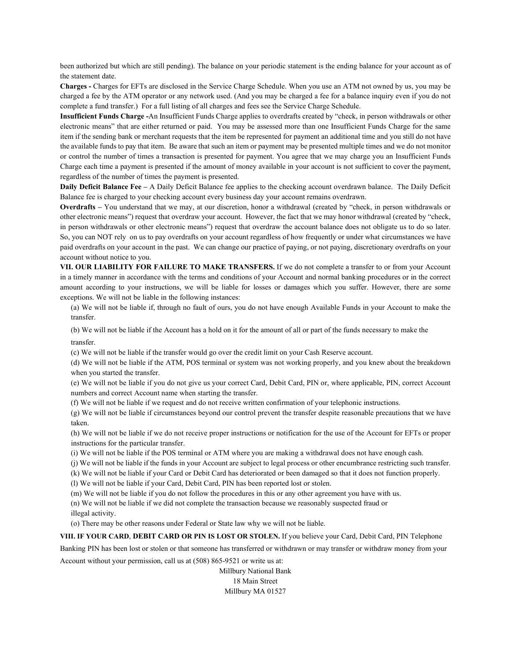been authorized but which are still pending). The balance on your periodic statement is the ending balance for your account as of the statement date.

**Charges -** Charges for EFTs are disclosed in the Service Charge Schedule. When you use an ATM not owned by us, you may be charged a fee by the ATM operator or any network used. (And you may be charged a fee for a balance inquiry even if you do not complete a fund transfer.) For a full listing of all charges and fees see the Service Charge Schedule.

**Insufficient Funds Charge -**An Insufficient Funds Charge applies to overdrafts created by "check, in person withdrawals or other electronic means" that are either returned or paid. You may be assessed more than one Insufficient Funds Charge for the same item if the sending bank or merchant requests that the item be represented for payment an additional time and you still do not have the available funds to pay that item. Be aware that such an item or payment may be presented multiple times and we do not monitor or control the number of times a transaction is presented for payment. You agree that we may charge you an Insufficient Funds Charge each time a payment is presented if the amount of money available in your account is not sufficient to cover the payment, regardless of the number of times the payment is presented.

**Daily Deficit Balance Fee –** A Daily Deficit Balance fee applies to the checking account overdrawn balance. The Daily Deficit Balance fee is charged to your checking account every business day your account remains overdrawn.

**Overdrafts –** You understand that we may, at our discretion, honor a withdrawal (created by "check, in person withdrawals or other electronic means") request that overdraw your account. However, the fact that we may honor withdrawal (created by "check, in person withdrawals or other electronic means") request that overdraw the account balance does not obligate us to do so later. So, you can NOT rely on us to pay overdrafts on your account regardless of how frequently or under what circumstances we have paid overdrafts on your account in the past. We can change our practice of paying, or not paying, discretionary overdrafts on your account without notice to you.

**VII. OUR LIABILITY FOR FAILURE TO MAKE TRANSFERS.** If we do not complete a transfer to or from your Account in a timely manner in accordance with the terms and conditions of your Account and normal banking procedures or in the correct amount according to your instructions, we will be liable for losses or damages which you suffer. However, there are some exceptions. We will not be liable in the following instances:

(a) We will not be liable if, through no fault of ours, you do not have enough Available Funds in your Account to make the transfer.

(b) We will not be liable if the Account has a hold on it for the amount of all or part of the funds necessary to make the

transfer.

(c) We will not be liable if the transfer would go over the credit limit on your Cash Reserve account.

(d) We will not be liable if the ATM, POS terminal or system was not working properly, and you knew about the breakdown when you started the transfer.

(e) We will not be liable if you do not give us your correct Card, Debit Card, PIN or, where applicable, PIN, correct Account numbers and correct Account name when starting the transfer.

(f) We will not be liable if we request and do not receive written confirmation of your telephonic instructions.

(g) We will not be liable if circumstances beyond our control prevent the transfer despite reasonable precautions that we have taken.

(h) We will not be liable if we do not receive proper instructions or notification for the use of the Account for EFTs or proper instructions for the particular transfer.

(i) We will not be liable if the POS terminal or ATM where you are making a withdrawal does not have enough cash.

(j) We will not be liable if the funds in your Account are subject to legal process or other encumbrance restricting such transfer.

(k) We will not be liable if your Card or Debit Card has deteriorated or been damaged so that it does not function properly.

(l) We will not be liable if your Card, Debit Card, PIN has been reported lost or stolen.

(m) We will not be liable if you do not follow the procedures in this or any other agreement you have with us.

(n) We will not be liable if we did not complete the transaction because we reasonably suspected fraud or

illegal activity.

(o) There may be other reasons under Federal or State law why we will not be liable.

**VIII. IF YOUR CARD**, **DEBIT CARD OR PIN IS LOST OR STOLEN.** If you believe your Card, Debit Card, PIN Telephone

Banking PIN has been lost or stolen or that someone has transferred or withdrawn or may transfer or withdraw money from your

Account without your permission, call us at (508) 865-9521 or write us at:

Millbury National Bank 18 Main Street Millbury MA 01527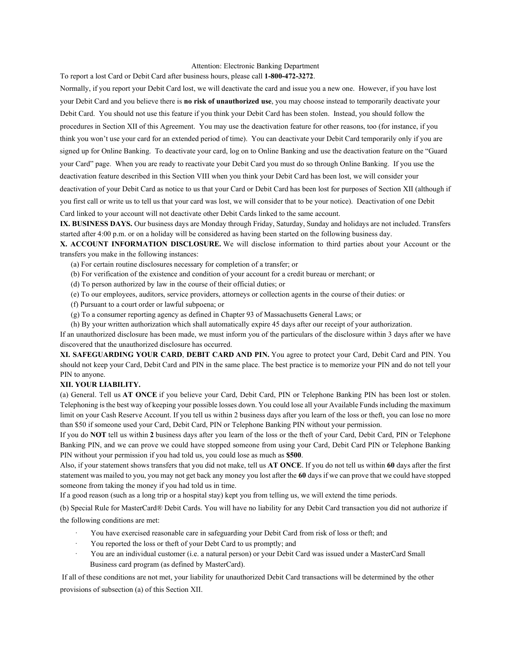## Attention: Electronic Banking Department

To report a lost Card or Debit Card after business hours, please call **1-800-472-3272**.

Normally, if you report your Debit Card lost, we will deactivate the card and issue you a new one. However, if you have lost your Debit Card and you believe there is **no risk of unauthorized use**, you may choose instead to temporarily deactivate your Debit Card. You should not use this feature if you think your Debit Card has been stolen. Instead, you should follow the procedures in Section XII of this Agreement. You may use the deactivation feature for other reasons, too (for instance, if you think you won't use your card for an extended period of time). You can deactivate your Debit Card temporarily only if you are signed up for Online Banking. To deactivate your card, log on to Online Banking and use the deactivation feature on the "Guard your Card" page. When you are ready to reactivate your Debit Card you must do so through Online Banking. If you use the deactivation feature described in this Section VIII when you think your Debit Card has been lost, we will consider your deactivation of your Debit Card as notice to us that your Card or Debit Card has been lost for purposes of Section XII (although if you first call or write us to tell us that your card was lost, we will consider that to be your notice). Deactivation of one Debit Card linked to your account will not deactivate other Debit Cards linked to the same account.

**IX. BUSINESS DAYS.** Our business days are Monday through Friday, Saturday, Sunday and holidays are not included. Transfers started after 4:00 p.m. or on a holiday will be considered as having been started on the following business day.

**X. ACCOUNT INFORMATION DISCLOSURE.** We will disclose information to third parties about your Account or the transfers you make in the following instances:

- (a) For certain routine disclosures necessary for completion of a transfer; or
- (b) For verification of the existence and condition of your account for a credit bureau or merchant; or
- (d) To person authorized by law in the course of their official duties; or
- (e) To our employees, auditors, service providers, attorneys or collection agents in the course of their duties: or
- (f) Pursuant to a court order or lawful subpoena; or
- (g) To a consumer reporting agency as defined in Chapter 93 of Massachusetts General Laws; or
- (h) By your written authorization which shall automatically expire 45 days after our receipt of your authorization.

If an unauthorized disclosure has been made, we must inform you of the particulars of the disclosure within 3 days after we have discovered that the unauthorized disclosure has occurred.

**XI. SAFEGUARDING YOUR CARD**, **DEBIT CARD AND PIN.** You agree to protect your Card, Debit Card and PIN. You should not keep your Card, Debit Card and PIN in the same place. The best practice is to memorize your PIN and do not tell your PIN to anyone.

## **XII. YOUR LIABILITY.**

(a) General. Tell us **AT ONCE** if you believe your Card, Debit Card, PIN or Telephone Banking PIN has been lost or stolen. Telephoning is the best way of keeping your possible losses down. You could lose all your Available Funds including the maximum limit on your Cash Reserve Account. If you tell us within 2 business days after you learn of the loss or theft, you can lose no more than \$50 if someone used your Card, Debit Card, PIN or Telephone Banking PIN without your permission.

If you do **NOT** tell us within **2** business days after you learn of the loss or the theft of your Card, Debit Card, PIN or Telephone Banking PIN, and we can prove we could have stopped someone from using your Card, Debit Card PIN or Telephone Banking PIN without your permission if you had told us, you could lose as much as **\$500**.

Also, if your statement shows transfers that you did not make, tell us **AT ONCE**. If you do not tell us within **60** days after the first statement was mailed to you, you may not get back any money you lost after the **60** days if we can prove that we could have stopped someone from taking the money if you had told us in time.

If a good reason (such as a long trip or a hospital stay) kept you from telling us, we will extend the time periods.

(b) Special Rule for MasterCard® Debit Cards. You will have no liability for any Debit Card transaction you did not authorize if the following conditions are met:

- You have exercised reasonable care in safeguarding your Debit Card from risk of loss or theft; and
- · You reported the loss or theft of your Debt Card to us promptly; and
- · You are an individual customer (i.e. a natural person) or your Debit Card was issued under a MasterCard Small Business card program (as defined by MasterCard).

If all of these conditions are not met, your liability for unauthorized Debit Card transactions will be determined by the other provisions of subsection (a) of this Section XII.